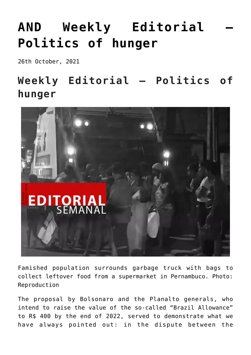## **[AND Weekly Editorial –](https://ci-ic.org/blog/2021/11/05/and-weekly-editorial-politics-of-hunger/) [Politics of hunger](https://ci-ic.org/blog/2021/11/05/and-weekly-editorial-politics-of-hunger/)**

26th October, 2021

## **Weekly Editorial – Politics of hunger**



Famished population surrounds garbage truck with bags to collect leftover food from a supermarket in Pernambuco. Photo: Reproduction

The proposal by Bolsonaro and the Planalto generals, who intend to raise the value of the so-called "Brazil Allowance" to R\$ 400 by the end of 2022, served to demonstrate what we have always pointed out: in the dispute between the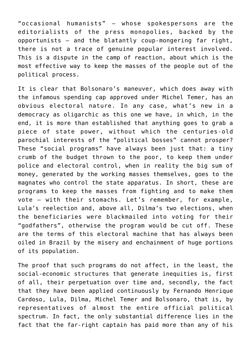"occasional humanists" – whose spokespersons are the editorialists of the press monopolies, backed by the opportunists – and the blatantly coup-mongering far right, there is not a trace of genuine popular interest involved. This is a dispute in the camp of reaction, about which is the most effective way to keep the masses of the people out of the political process.

It is clear that Bolsonaro's maneuver, which does away with the infamous spending cap approved under Michel Temer, has an obvious electoral nature. In any case, what's new in a democracy as oligarchic as this one we have, in which, in the end, it is more than established that anything goes to grab a piece of state power, without which the centuries-old parochial interests of the "political bosses" cannot prosper? These "social programs" have always been just that: a tiny crumb of the budget thrown to the poor, to keep them under police and electoral control, when in reality the big sum of money, generated by the working masses themselves, goes to the magnates who control the state apparatus. In short, these are programs to keep the masses from fighting and to make them vote – with their stomachs. Let's remember, for example, Lula's reelection and, above all, Dilma's two elections, when the beneficiaries were blackmailed into voting for their "godfathers", otherwise the program would be cut off. These are the terms of this electoral machine that has always been oiled in Brazil by the misery and enchainment of huge portions of its population.

The proof that such programs do not affect, in the least, the social-economic structures that generate inequities is, first of all, their perpetuation over time and, secondly, the fact that they have been applied continuously by Fernando Henrique Cardoso, Lula, Dilma, Michel Temer and Bolsonaro, that is, by representatives of almost the entire official political spectrum. In fact, the only substantial difference lies in the fact that the far-right captain has paid more than any of his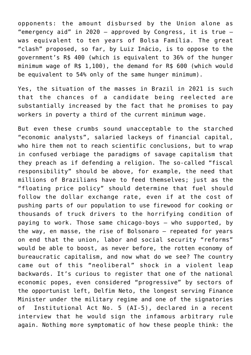opponents: the amount disbursed by the Union alone as "emergency aid" in 2020 – approved by Congress, it is true – was equivalent to ten years of Bolsa Família. The great "clash" proposed, so far, by Luiz Inácio, is to oppose to the government's R\$ 400 (which is equivalent to 36% of the hunger minimum wage of R\$ 1,100), the demand for R\$ 600 (which would be equivalent to 54% only of the same hunger minimum).

Yes, the situation of the masses in Brazil in 2021 is such that the chances of a candidate being reelected are substantially increased by the fact that he promises to pay workers in poverty a third of the current minimum wage.

But even these crumbs sound unacceptable to the starched "economic analysts", salaried lackeys of financial capital, who hire them not to reach scientific conclusions, but to wrap in confused verbiage the paradigms of savage capitalism that they preach as if defending a religion. The so-called "fiscal responsibility" should be above, for example, the need that millions of Brazilians have to feed themselves; just as the "floating price policy" should determine that fuel should follow the dollar exchange rate, even if at the cost of pushing parts of our population to use firewood for cooking or thousands of truck drivers to the horrifying condition of paying to work. Those same chicago-boys – who supported, by the way, en masse, the rise of Bolsonaro – repeated for years on end that the union, labor and social security "reforms" would be able to boost, as never before, the rotten economy of bureaucratic capitalism, and now what do we see? The country came out of this "neoliberal" shock in a violent leap backwards. It's curious to register that one of the national economic popes, even considered "progressive" by sectors of the opportunist left, Delfim Neto, the longest serving Finance Minister under the military regime and one of the signatories of Institutional Act No. 5 (AI-5), declared in a recent interview that he would sign the infamous arbitrary rule again. Nothing more symptomatic of how these people think: the